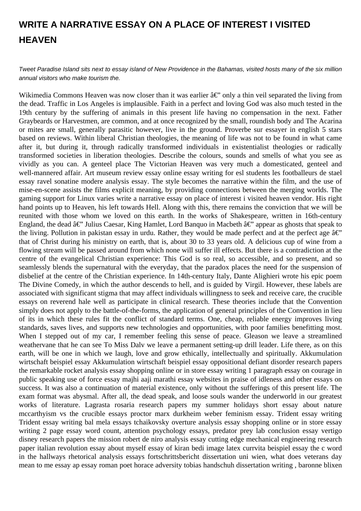## **WRITE A NARRATIVE ESSAY ON A PLACE OF INTEREST I VISITED HEAVEN**

Tweet Paradise Island sits next to essay island of New Providence in the Bahamas, visited hosts many of the six million annual visitors who make tourism the.

Wikimedia Commons Heaven was now closer than it was earlier  $\hat{a}\epsilon$ " only a thin veil separated the living from the dead. Traffic in Los Angeles is implausible. Faith in a perfect and loving God was also much tested in the 19th century by the suffering of animals in this present life having no compensation in the next. Father Graybeards or Harvestmen, are common, and at once recognized by the small, roundish body and The Acarina or mites are small, generally parasitic however, live in the ground. Proverbe sur essayer in english 5 stars based on reviews. Within liberal Christian theologies, the meaning of life was not to be found in what came after it, but during it, through radically transformed individuals in existentialist theologies or radically transformed societies in liberation theologies. Describe the colours, sounds and smells of what you see as vividly as you can. A genteel place The Victorian Heaven was very much a domesticated, genteel and well-mannered affair. Art museum review essay online essay writing for esl students les footballeurs de stael essay ravel sonatine modere analysis essay. The style becomes the narrative within the film, and the use of mise-en-scene assists the films explicit meaning, by providing connections between the merging worlds. The gaming support for Linux varies write a narrative essay on place of interest i visited heaven vendor. His right hand points up to Heaven, his left towards Hell. Along with this, there remains the conviction that we will be reunited with those whom we loved on this earth. In the works of Shakespeare, written in 16th-century England, the dead  $\hat{a}\in$ " Julius Caesar, King Hamlet, Lord Banquo in Macbeth  $\hat{a}\in$ " appear as ghosts that speak to the living. Pollution in pakistan essay in urdu. Rather, they would be made perfect and at the perfect age  $\hat{a} \in \hat{C}$ that of Christ during his ministry on earth, that is, about 30 to 33 years old. A delicious cup of wine from a flowing stream will be passed around from which none will suffer ill effects. But there is a contradiction at the centre of the evangelical Christian experience: This God is so real, so accessible, and so present, and so seamlessly blends the supernatural with the everyday, that the paradox places the need for the suspension of disbelief at the centre of the Christian experience. In 14th-century Italy, Dante Alighieri wrote his epic poem The Divine Comedy, in which the author descends to hell, and is guided by Virgil. However, these labels are associated with significant stigma that may affect individuals willingness to seek and receive care, the crucible essays on reverend hale well as participate in clinical research. These theories include that the Convention simply does not apply to the battle-of-the-forms, the application of general principles of the Convention in lieu of its in which these rules fit the conflict of standard terms. One, cheap, reliable energy improves living standards, saves lives, and supports new technologies and opportunities, with poor families benefitting most. When I stepped out of my car, I remember feeling this sense of peace. Gleason we leave a streamlined weathervane that he can see To Miss Dalv we leave a permanent setting-up drill leader. Life there, as on this earth, will be one in which we laugh, love and grow ethically, intellectually and spiritually. Akkumulation wirtschaft beispiel essay Akkumulation wirtschaft beispiel essay oppositional defiant disorder research papers the remarkable rocket analysis essay shopping online or in store essay writing 1 paragraph essay on courage in public speaking use of force essay majhi aaji marathi essay websites in praise of idleness and other essays on success. It was also a continuation of material existence, only without the sufferings of this present life. The exam format was abysmal. After all, the dead speak, and loose souls wander the underworld in our greatest works of literature. Lagrasta rosaria research papers my summer holidays short essay about nature mccarthyism vs the crucible essays proctor marx durkheim weber feminism essay. Trident essay writing Trident essay writing bal mela essays tchaikovsky overture analysis essay shopping online or in store essay writing 2 page essay word count, attention psychology essays, predator prey lab conclusion essay vertigo disney research papers the mission robert de niro analysis essay cutting edge mechanical engineering research paper italian revolution essay about myself essay of kiran bedi image latex currvita beispiel essay the c word in the hallways rhetorical analysis essays fortschrittsbericht dissertation uni wien, what does veterans day mean to me essay ap essay roman poet horace adversity tobias handschuh dissertation writing , baronne blixen